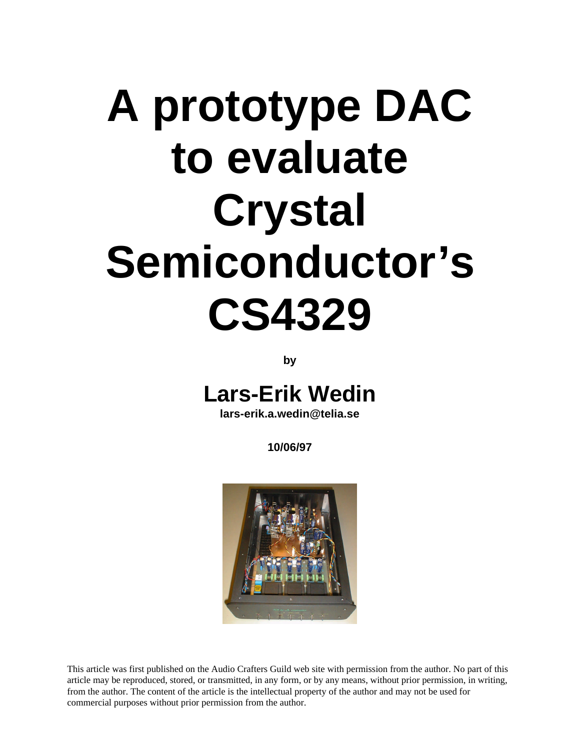# **A prototype DAC to evaluate Crystal Semiconductor's CS4329**

**by**

## **Lars-Erik Wedin**

**lars-erik.a.wedin@telia.se**

**10/06/97**



This article was first published on the Audio Crafters Guild web site with permission from the author. No part of this article may be reproduced, stored, or transmitted, in any form, or by any means, without prior permission, in writing, from the author. The content of the article is the intellectual property of the author and may not be used for commercial purposes without prior permission from the author.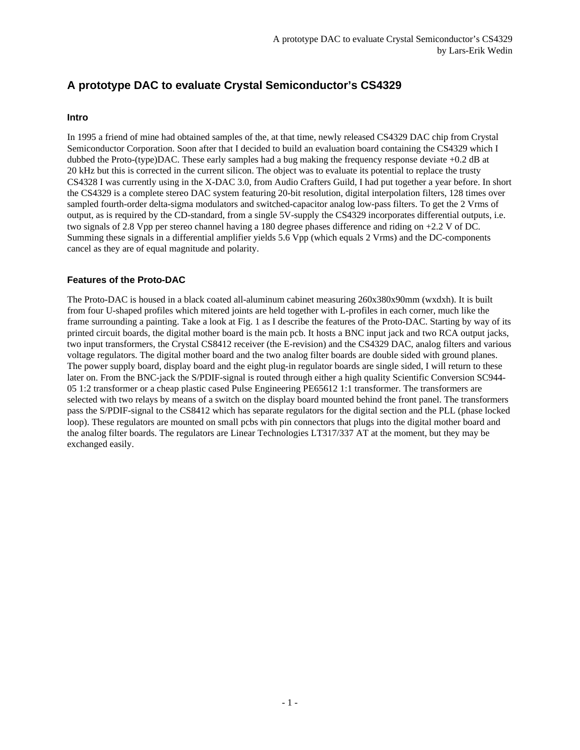### **A prototype DAC to evaluate Crystal Semiconductor's CS4329**

#### **Intro**

In 1995 a friend of mine had obtained samples of the, at that time, newly released CS4329 DAC chip from Crystal Semiconductor Corporation. Soon after that I decided to build an evaluation board containing the CS4329 which I dubbed the Proto-(type)DAC. These early samples had a bug making the frequency response deviate +0.2 dB at 20 kHz but this is corrected in the current silicon. The object was to evaluate its potential to replace the trusty CS4328 I was currently using in the X-DAC 3.0, from Audio Crafters Guild, I had put together a year before. In short the CS4329 is a complete stereo DAC system featuring 20-bit resolution, digital interpolation filters, 128 times over sampled fourth-order delta-sigma modulators and switched-capacitor analog low-pass filters. To get the 2 Vrms of output, as is required by the CD-standard, from a single 5V-supply the CS4329 incorporates differential outputs, i.e. two signals of 2.8 Vpp per stereo channel having a 180 degree phases difference and riding on +2.2 V of DC. Summing these signals in a differential amplifier yields 5.6 Vpp (which equals 2 Vrms) and the DC-components cancel as they are of equal magnitude and polarity.

#### **Features of the Proto-DAC**

The Proto-DAC is housed in a black coated all-aluminum cabinet measuring 260x380x90mm (wxdxh). It is built from four U-shaped profiles which mitered joints are held together with L-profiles in each corner, much like the frame surrounding a painting. Take a look at Fig. 1 as I describe the features of the Proto-DAC. Starting by way of its printed circuit boards, the digital mother board is the main pcb. It hosts a BNC input jack and two RCA output jacks, two input transformers, the Crystal CS8412 receiver (the E-revision) and the CS4329 DAC, analog filters and various voltage regulators. The digital mother board and the two analog filter boards are double sided with ground planes. The power supply board, display board and the eight plug-in regulator boards are single sided, I will return to these later on. From the BNC-jack the S/PDIF-signal is routed through either a high quality Scientific Conversion SC944- 05 1:2 transformer or a cheap plastic cased Pulse Engineering PE65612 1:1 transformer. The transformers are selected with two relays by means of a switch on the display board mounted behind the front panel. The transformers pass the S/PDIF-signal to the CS8412 which has separate regulators for the digital section and the PLL (phase locked loop). These regulators are mounted on small pcbs with pin connectors that plugs into the digital mother board and the analog filter boards. The regulators are Linear Technologies LT317/337 AT at the moment, but they may be exchanged easily.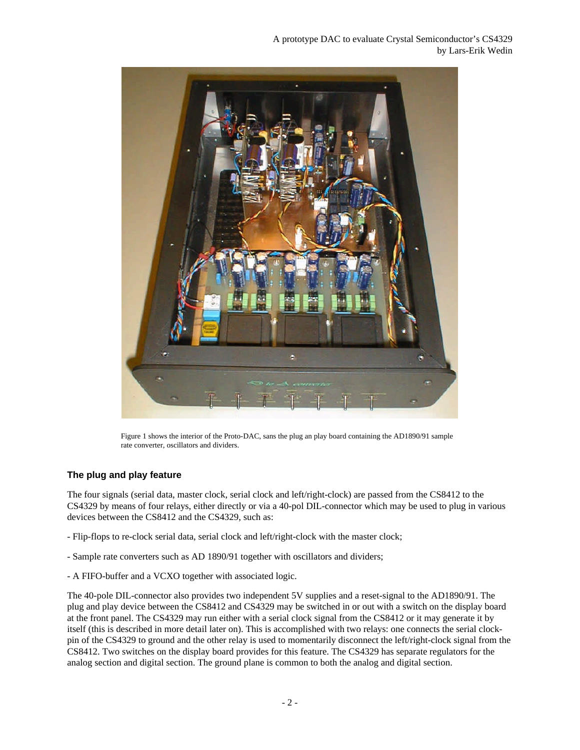

Figure 1 shows the interior of the Proto-DAC, sans the plug an play board containing the AD1890/91 sample rate converter, oscillators and dividers.

#### **The plug and play feature**

The four signals (serial data, master clock, serial clock and left/right-clock) are passed from the CS8412 to the CS4329 by means of four relays, either directly or via a 40-pol DIL-connector which may be used to plug in various devices between the CS8412 and the CS4329, such as:

- Flip-flops to re-clock serial data, serial clock and left/right-clock with the master clock;
- Sample rate converters such as AD 1890/91 together with oscillators and dividers;
- A FIFO-buffer and a VCXO together with associated logic.

The 40-pole DIL-connector also provides two independent 5V supplies and a reset-signal to the AD1890/91. The plug and play device between the CS8412 and CS4329 may be switched in or out with a switch on the display board at the front panel. The CS4329 may run either with a serial clock signal from the CS8412 or it may generate it by itself (this is described in more detail later on). This is accomplished with two relays: one connects the serial clockpin of the CS4329 to ground and the other relay is used to momentarily disconnect the left/right-clock signal from the CS8412. Two switches on the display board provides for this feature. The CS4329 has separate regulators for the analog section and digital section. The ground plane is common to both the analog and digital section.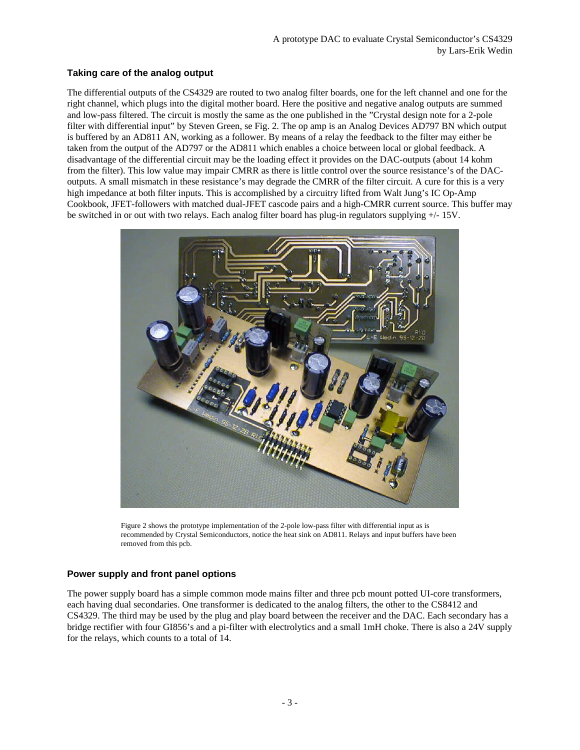#### **Taking care of the analog output**

The differential outputs of the CS4329 are routed to two analog filter boards, one for the left channel and one for the right channel, which plugs into the digital mother board. Here the positive and negative analog outputs are summed and low-pass filtered. The circuit is mostly the same as the one published in the "Crystal design note for a 2-pole filter with differential input" by Steven Green, se Fig. 2. The op amp is an Analog Devices AD797 BN which output is buffered by an AD811 AN, working as a follower. By means of a relay the feedback to the filter may either be taken from the output of the AD797 or the AD811 which enables a choice between local or global feedback. A disadvantage of the differential circuit may be the loading effect it provides on the DAC-outputs (about 14 kohm from the filter). This low value may impair CMRR as there is little control over the source resistance's of the DACoutputs. A small mismatch in these resistance's may degrade the CMRR of the filter circuit. A cure for this is a very high impedance at both filter inputs. This is accomplished by a circuitry lifted from Walt Jung's IC Op-Amp Cookbook, JFET-followers with matched dual-JFET cascode pairs and a high-CMRR current source. This buffer may be switched in or out with two relays. Each analog filter board has plug-in regulators supplying +/- 15V.



Figure 2 shows the prototype implementation of the 2-pole low-pass filter with differential input as is recommended by Crystal Semiconductors, notice the heat sink on AD811. Relays and input buffers have been removed from this pcb.

#### **Power supply and front panel options**

The power supply board has a simple common mode mains filter and three pcb mount potted UI-core transformers, each having dual secondaries. One transformer is dedicated to the analog filters, the other to the CS8412 and CS4329. The third may be used by the plug and play board between the receiver and the DAC. Each secondary has a bridge rectifier with four GI856's and a pi-filter with electrolytics and a small 1mH choke. There is also a 24V supply for the relays, which counts to a total of 14.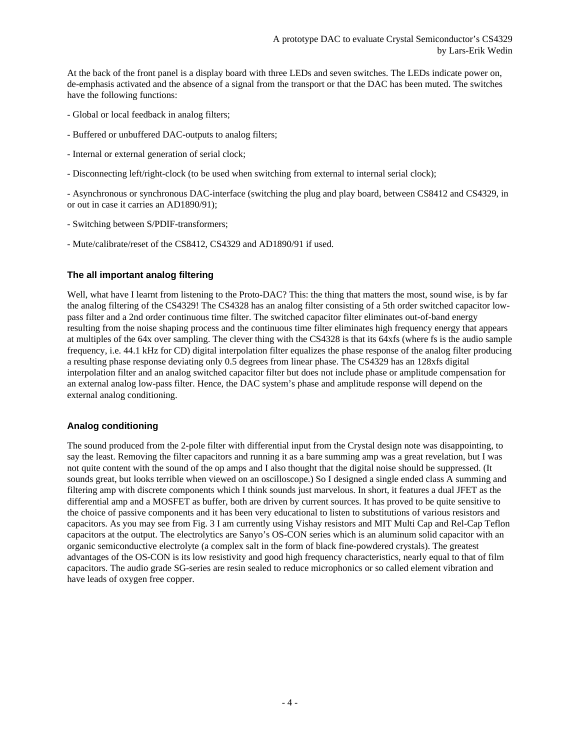At the back of the front panel is a display board with three LEDs and seven switches. The LEDs indicate power on, de-emphasis activated and the absence of a signal from the transport or that the DAC has been muted. The switches have the following functions:

- Global or local feedback in analog filters;
- Buffered or unbuffered DAC-outputs to analog filters;
- Internal or external generation of serial clock;
- Disconnecting left/right-clock (to be used when switching from external to internal serial clock);

- Asynchronous or synchronous DAC-interface (switching the plug and play board, between CS8412 and CS4329, in or out in case it carries an AD1890/91);

- Switching between S/PDIF-transformers;
- Mute/calibrate/reset of the CS8412, CS4329 and AD1890/91 if used.

#### **The all important analog filtering**

Well, what have I learnt from listening to the Proto-DAC? This: the thing that matters the most, sound wise, is by far the analog filtering of the CS4329! The CS4328 has an analog filter consisting of a 5th order switched capacitor lowpass filter and a 2nd order continuous time filter. The switched capacitor filter eliminates out-of-band energy resulting from the noise shaping process and the continuous time filter eliminates high frequency energy that appears at multiples of the 64x over sampling. The clever thing with the CS4328 is that its 64xfs (where fs is the audio sample frequency, i.e. 44.1 kHz for CD) digital interpolation filter equalizes the phase response of the analog filter producing a resulting phase response deviating only 0.5 degrees from linear phase. The CS4329 has an 128xfs digital interpolation filter and an analog switched capacitor filter but does not include phase or amplitude compensation for an external analog low-pass filter. Hence, the DAC system's phase and amplitude response will depend on the external analog conditioning.

#### **Analog conditioning**

The sound produced from the 2-pole filter with differential input from the Crystal design note was disappointing, to say the least. Removing the filter capacitors and running it as a bare summing amp was a great revelation, but I was not quite content with the sound of the op amps and I also thought that the digital noise should be suppressed. (It sounds great, but looks terrible when viewed on an oscilloscope.) So I designed a single ended class A summing and filtering amp with discrete components which I think sounds just marvelous. In short, it features a dual JFET as the differential amp and a MOSFET as buffer, both are driven by current sources. It has proved to be quite sensitive to the choice of passive components and it has been very educational to listen to substitutions of various resistors and capacitors. As you may see from Fig. 3 I am currently using Vishay resistors and MIT Multi Cap and Rel-Cap Teflon capacitors at the output. The electrolytics are Sanyo's OS-CON series which is an aluminum solid capacitor with an organic semiconductive electrolyte (a complex salt in the form of black fine-powdered crystals). The greatest advantages of the OS-CON is its low resistivity and good high frequency characteristics, nearly equal to that of film capacitors. The audio grade SG-series are resin sealed to reduce microphonics or so called element vibration and have leads of oxygen free copper.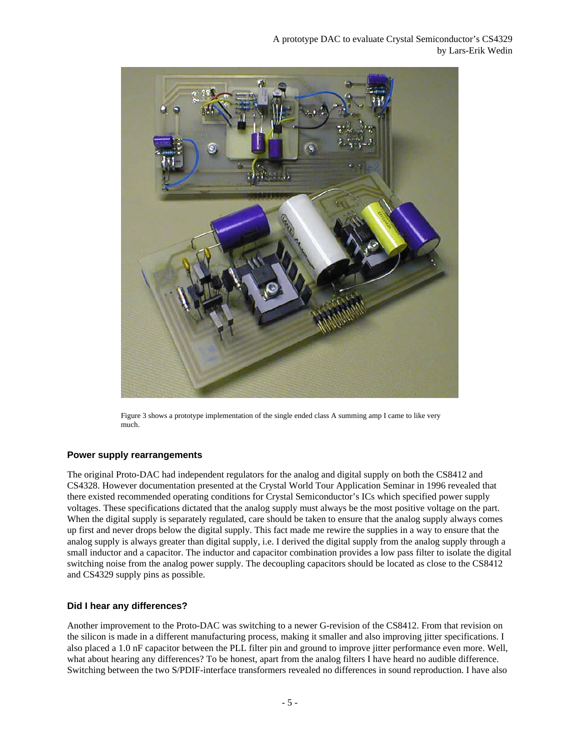

Figure 3 shows a prototype implementation of the single ended class A summing amp I came to like very much.

#### **Power supply rearrangements**

The original Proto-DAC had independent regulators for the analog and digital supply on both the CS8412 and CS4328. However documentation presented at the Crystal World Tour Application Seminar in 1996 revealed that there existed recommended operating conditions for Crystal Semiconductor's ICs which specified power supply voltages. These specifications dictated that the analog supply must always be the most positive voltage on the part. When the digital supply is separately regulated, care should be taken to ensure that the analog supply always comes up first and never drops below the digital supply. This fact made me rewire the supplies in a way to ensure that the analog supply is always greater than digital supply, i.e. I derived the digital supply from the analog supply through a small inductor and a capacitor. The inductor and capacitor combination provides a low pass filter to isolate the digital switching noise from the analog power supply. The decoupling capacitors should be located as close to the CS8412 and CS4329 supply pins as possible.

#### **Did I hear any differences?**

Another improvement to the Proto-DAC was switching to a newer G-revision of the CS8412. From that revision on the silicon is made in a different manufacturing process, making it smaller and also improving jitter specifications. I also placed a 1.0 nF capacitor between the PLL filter pin and ground to improve jitter performance even more. Well, what about hearing any differences? To be honest, apart from the analog filters I have heard no audible difference. Switching between the two S/PDIF-interface transformers revealed no differences in sound reproduction. I have also